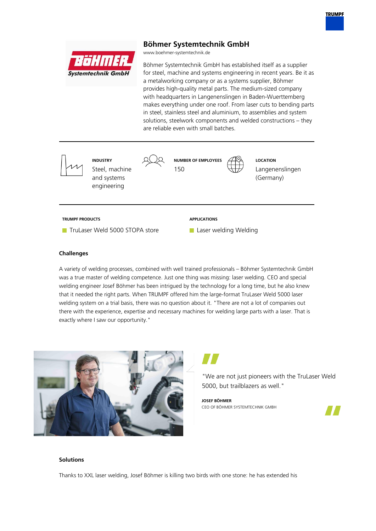# **Böhmer Systemtechnik GmbH**

www.boehmer-systemtechnik.de

r:151.1111.1. **Systemtechnik GmbH** 

Böhmer Systemtechnik GmbH has established itself as a supplier for steel, machine and systems engineering in recent years. Be it as a metalworking company or as a systems supplier, Böhmer provides high-quality metal parts. The medium-sized company with headquarters in Langenenslingen in Baden-Wuerttemberg makes everything under one roof. From laser cuts to bending parts in steel, stainless steel and aluminium, to assemblies and system solutions, steelwork components and welded constructions – they are reliable even with small batches.



### **Challenges**

A variety of welding processes, combined with well trained professionals – Böhmer Systemtechnik GmbH was a true master of welding competence. Just one thing was missing: laser welding. CEO and special welding engineer Josef Böhmer has been intrigued by the technology for a long time, but he also knew that it needed the right parts. When TRUMPF offered him the large-format TruLaser Weld 5000 laser welding system on a trial basis, there was no question about it. "There are not a lot of companies out there with the experience, expertise and necessary machines for welding large parts with a laser. That is exactly where I saw our opportunity."



"We are not just pioneers with the TruLaser Weld 5000, but trailblazers as well."

**JOSEF BÖHMER** CEO OF BÖHMER SYSTEMTECHNIK GMBH



## **Solutions**

Thanks to XXL laser welding, Josef Böhmer is killing two birds with one stone: he has extended his